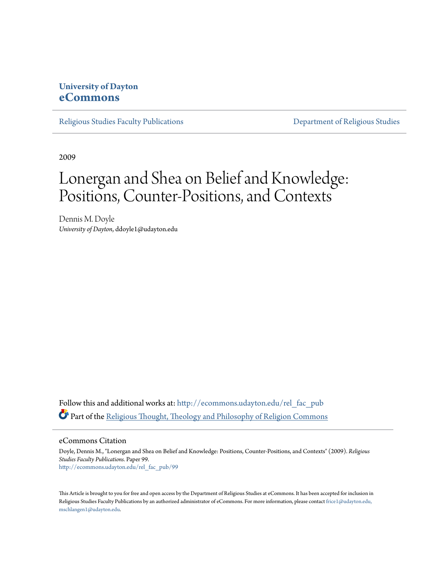## **University of Dayton [eCommons](http://ecommons.udayton.edu?utm_source=ecommons.udayton.edu%2Frel_fac_pub%2F99&utm_medium=PDF&utm_campaign=PDFCoverPages)**

[Religious Studies Faculty Publications](http://ecommons.udayton.edu/rel_fac_pub?utm_source=ecommons.udayton.edu%2Frel_fac_pub%2F99&utm_medium=PDF&utm_campaign=PDFCoverPages) **[Department of Religious Studies](http://ecommons.udayton.edu/rel?utm_source=ecommons.udayton.edu%2Frel_fac_pub%2F99&utm_medium=PDF&utm_campaign=PDFCoverPages)** 

2009

## Lonergan and Shea on Belief and Knowledge: Positions, Counter-Positions, and Contexts

Dennis M. Doyle *University of Dayton*, ddoyle1@udayton.edu

Follow this and additional works at: [http://ecommons.udayton.edu/rel\\_fac\\_pub](http://ecommons.udayton.edu/rel_fac_pub?utm_source=ecommons.udayton.edu%2Frel_fac_pub%2F99&utm_medium=PDF&utm_campaign=PDFCoverPages) Part of the [Religious Thought, Theology and Philosophy of Religion Commons](http://network.bepress.com/hgg/discipline/544?utm_source=ecommons.udayton.edu%2Frel_fac_pub%2F99&utm_medium=PDF&utm_campaign=PDFCoverPages)

eCommons Citation

Doyle, Dennis M., "Lonergan and Shea on Belief and Knowledge: Positions, Counter-Positions, and Contexts" (2009). *Religious Studies Faculty Publications.* Paper 99. [http://ecommons.udayton.edu/rel\\_fac\\_pub/99](http://ecommons.udayton.edu/rel_fac_pub/99?utm_source=ecommons.udayton.edu%2Frel_fac_pub%2F99&utm_medium=PDF&utm_campaign=PDFCoverPages)

This Article is brought to you for free and open access by the Department of Religious Studies at eCommons. It has been accepted for inclusion in Religious Studies Faculty Publications by an authorized administrator of eCommons. For more information, please contact [frice1@udayton.edu,](mailto:frice1@udayton.edu,%20mschlangen1@udayton.edu) [mschlangen1@udayton.edu.](mailto:frice1@udayton.edu,%20mschlangen1@udayton.edu)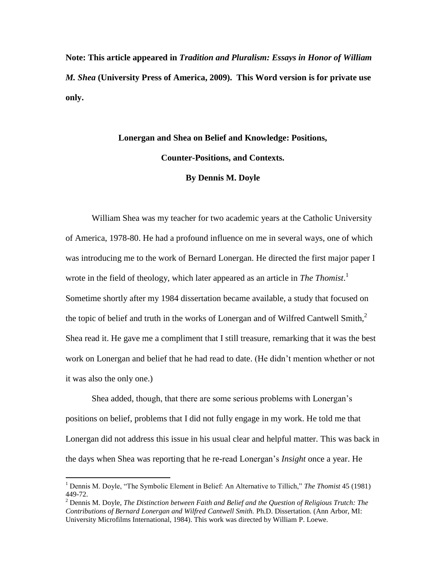**Note: This article appeared in** *Tradition and Pluralism: Essays in Honor of William M. Shea* **(University Press of America, 2009). This Word version is for private use only.** 

## **Lonergan and Shea on Belief and Knowledge: Positions, Counter-Positions, and Contexts. By Dennis M. Doyle**

William Shea was my teacher for two academic years at the Catholic University of America, 1978-80. He had a profound influence on me in several ways, one of which was introducing me to the work of Bernard Lonergan. He directed the first major paper I wrote in the field of theology, which later appeared as an article in *The Thomist*. 1 Sometime shortly after my 1984 dissertation became available, a study that focused on the topic of belief and truth in the works of Lonergan and of Wilfred Cantwell Smith, $2^{\circ}$ Shea read it. He gave me a compliment that I still treasure, remarking that it was the best work on Lonergan and belief that he had read to date. (He didn't mention whether or not it was also the only one.)

Shea added, though, that there are some serious problems with Lonergan's positions on belief, problems that I did not fully engage in my work. He told me that Lonergan did not address this issue in his usual clear and helpful matter. This was back in the days when Shea was reporting that he re-read Lonergan's *Insight* once a year. He

<sup>1</sup> Dennis M. Doyle, "The Symbolic Element in Belief: An Alternative to Tillich," *The Thomist* 45 (1981) 449-72.

<sup>2</sup> Dennis M. Doyle, *The Distinction between Faith and Belief and the Question of Religious Trutch: The Contributions of Bernard Lonergan and Wilfred Cantwell Smith.* Ph.D. Dissertation. (Ann Arbor, MI: University Microfilms International, 1984). This work was directed by William P. Loewe.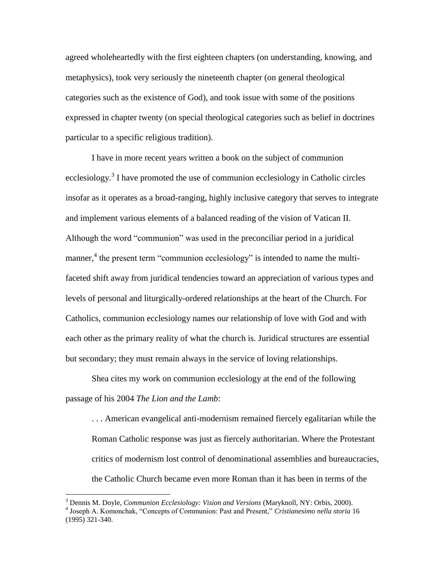agreed wholeheartedly with the first eighteen chapters (on understanding, knowing, and metaphysics), took very seriously the nineteenth chapter (on general theological categories such as the existence of God), and took issue with some of the positions expressed in chapter twenty (on special theological categories such as belief in doctrines particular to a specific religious tradition).

I have in more recent years written a book on the subject of communion ecclesiology.<sup>3</sup> I have promoted the use of communion ecclesiology in Catholic circles insofar as it operates as a broad-ranging, highly inclusive category that serves to integrate and implement various elements of a balanced reading of the vision of Vatican II. Although the word "communion" was used in the preconciliar period in a juridical manner,<sup>4</sup> the present term "communion ecclesiology" is intended to name the multifaceted shift away from juridical tendencies toward an appreciation of various types and levels of personal and liturgically-ordered relationships at the heart of the Church. For Catholics, communion ecclesiology names our relationship of love with God and with each other as the primary reality of what the church is. Juridical structures are essential but secondary; they must remain always in the service of loving relationships.

Shea cites my work on communion ecclesiology at the end of the following passage of his 2004 *The Lion and the Lamb*:

. . . American evangelical anti-modernism remained fiercely egalitarian while the Roman Catholic response was just as fiercely authoritarian. Where the Protestant critics of modernism lost control of denominational assemblies and bureaucracies, the Catholic Church became even more Roman than it has been in terms of the

<sup>3</sup> Dennis M. Doyle, *Communion Ecclesiology: Vision and Versions* (Maryknoll, NY: Orbis, 2000). 4 Joseph A. Komonchak, "Concepts of Communion: Past and Present," *Cristianesimo nella storia* 16 (1995) 321-340.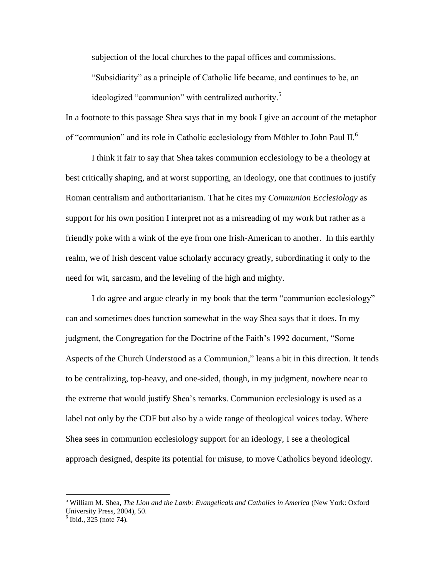subjection of the local churches to the papal offices and commissions.

"Subsidiarity" as a principle of Catholic life became, and continues to be, an ideologized "communion" with centralized authority.<sup>5</sup>

In a footnote to this passage Shea says that in my book I give an account of the metaphor of "communion" and its role in Catholic ecclesiology from Möhler to John Paul II.<sup>6</sup>

I think it fair to say that Shea takes communion ecclesiology to be a theology at best critically shaping, and at worst supporting, an ideology, one that continues to justify Roman centralism and authoritarianism. That he cites my *Communion Ecclesiology* as support for his own position I interpret not as a misreading of my work but rather as a friendly poke with a wink of the eye from one Irish-American to another. In this earthly realm, we of Irish descent value scholarly accuracy greatly, subordinating it only to the need for wit, sarcasm, and the leveling of the high and mighty.

I do agree and argue clearly in my book that the term "communion ecclesiology" can and sometimes does function somewhat in the way Shea says that it does. In my judgment, the Congregation for the Doctrine of the Faith's 1992 document, "Some Aspects of the Church Understood as a Communion," leans a bit in this direction. It tends to be centralizing, top-heavy, and one-sided, though, in my judgment, nowhere near to the extreme that would justify Shea's remarks. Communion ecclesiology is used as a label not only by the CDF but also by a wide range of theological voices today. Where Shea sees in communion ecclesiology support for an ideology, I see a theological approach designed, despite its potential for misuse, to move Catholics beyond ideology.

<sup>5</sup> William M. Shea, *The Lion and the Lamb: Evangelicals and Catholics in America* (New York: Oxford University Press, 2004), 50.

 $6$  Ibid., 325 (note 74).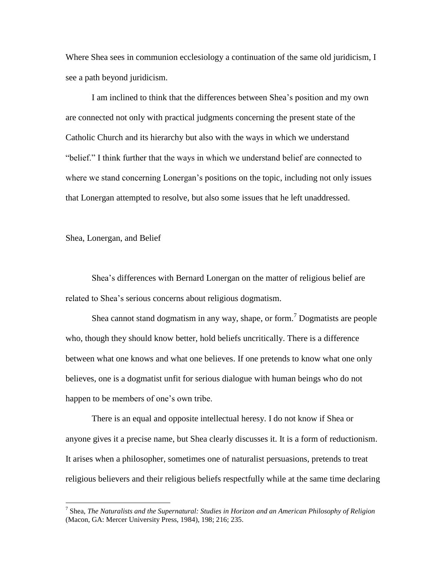Where Shea sees in communion ecclesiology a continuation of the same old juridicism, I see a path beyond juridicism.

I am inclined to think that the differences between Shea's position and my own are connected not only with practical judgments concerning the present state of the Catholic Church and its hierarchy but also with the ways in which we understand "belief." I think further that the ways in which we understand belief are connected to where we stand concerning Lonergan's positions on the topic, including not only issues that Lonergan attempted to resolve, but also some issues that he left unaddressed.

Shea, Lonergan, and Belief

 $\overline{a}$ 

Shea's differences with Bernard Lonergan on the matter of religious belief are related to Shea's serious concerns about religious dogmatism.

Shea cannot stand dogmatism in any way, shape, or form.<sup>7</sup> Dogmatists are people who, though they should know better, hold beliefs uncritically. There is a difference between what one knows and what one believes. If one pretends to know what one only believes, one is a dogmatist unfit for serious dialogue with human beings who do not happen to be members of one's own tribe.

There is an equal and opposite intellectual heresy. I do not know if Shea or anyone gives it a precise name, but Shea clearly discusses it. It is a form of reductionism. It arises when a philosopher, sometimes one of naturalist persuasions, pretends to treat religious believers and their religious beliefs respectfully while at the same time declaring

<sup>7</sup> Shea, *The Naturalists and the Supernatural: Studies in Horizon and an American Philosophy of Religion* (Macon, GA: Mercer University Press, 1984), 198; 216; 235.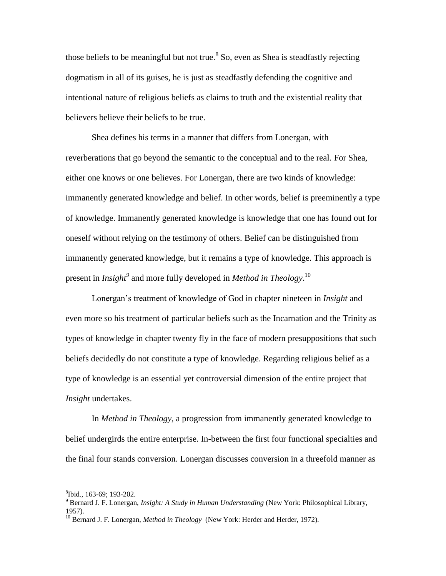those beliefs to be meaningful but not true.<sup>8</sup> So, even as Shea is steadfastly rejecting dogmatism in all of its guises, he is just as steadfastly defending the cognitive and intentional nature of religious beliefs as claims to truth and the existential reality that believers believe their beliefs to be true.

Shea defines his terms in a manner that differs from Lonergan, with reverberations that go beyond the semantic to the conceptual and to the real. For Shea, either one knows or one believes. For Lonergan, there are two kinds of knowledge: immanently generated knowledge and belief. In other words, belief is preeminently a type of knowledge. Immanently generated knowledge is knowledge that one has found out for oneself without relying on the testimony of others. Belief can be distinguished from immanently generated knowledge, but it remains a type of knowledge. This approach is present in *Insight<sup>9</sup>* and more fully developed in *Method in Theology*. 10

Lonergan's treatment of knowledge of God in chapter nineteen in *Insight* and even more so his treatment of particular beliefs such as the Incarnation and the Trinity as types of knowledge in chapter twenty fly in the face of modern presuppositions that such beliefs decidedly do not constitute a type of knowledge. Regarding religious belief as a type of knowledge is an essential yet controversial dimension of the entire project that *Insight* undertakes.

In *Method in Theology*, a progression from immanently generated knowledge to belief undergirds the entire enterprise. In-between the first four functional specialties and the final four stands conversion. Lonergan discusses conversion in a threefold manner as

<sup>8</sup> Ibid., 163-69; 193-202.

<sup>9</sup> Bernard J. F. Lonergan, *Insight: A Study in Human Understanding* (New York: Philosophical Library, 1957).

<sup>&</sup>lt;sup>10</sup> Bernard J. F. Lonergan, *Method in Theology* (New York: Herder and Herder, 1972).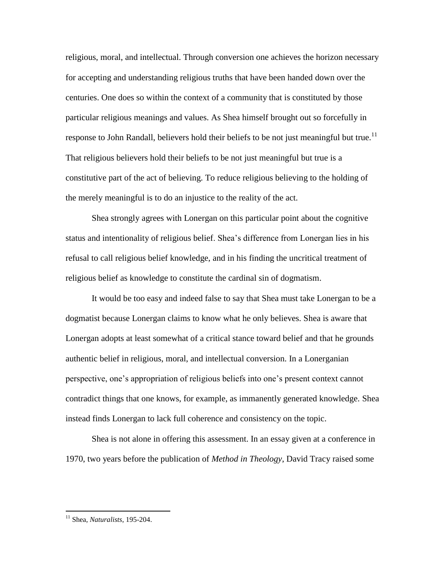religious, moral, and intellectual. Through conversion one achieves the horizon necessary for accepting and understanding religious truths that have been handed down over the centuries. One does so within the context of a community that is constituted by those particular religious meanings and values. As Shea himself brought out so forcefully in response to John Randall, believers hold their beliefs to be not just meaningful but true.<sup>11</sup> That religious believers hold their beliefs to be not just meaningful but true is a constitutive part of the act of believing. To reduce religious believing to the holding of the merely meaningful is to do an injustice to the reality of the act.

Shea strongly agrees with Lonergan on this particular point about the cognitive status and intentionality of religious belief. Shea's difference from Lonergan lies in his refusal to call religious belief knowledge, and in his finding the uncritical treatment of religious belief as knowledge to constitute the cardinal sin of dogmatism.

It would be too easy and indeed false to say that Shea must take Lonergan to be a dogmatist because Lonergan claims to know what he only believes. Shea is aware that Lonergan adopts at least somewhat of a critical stance toward belief and that he grounds authentic belief in religious, moral, and intellectual conversion. In a Lonerganian perspective, one's appropriation of religious beliefs into one's present context cannot contradict things that one knows, for example, as immanently generated knowledge. Shea instead finds Lonergan to lack full coherence and consistency on the topic.

Shea is not alone in offering this assessment. In an essay given at a conference in 1970, two years before the publication of *Method in Theology*, David Tracy raised some

<sup>11</sup> Shea, *Naturalists*, 195-204.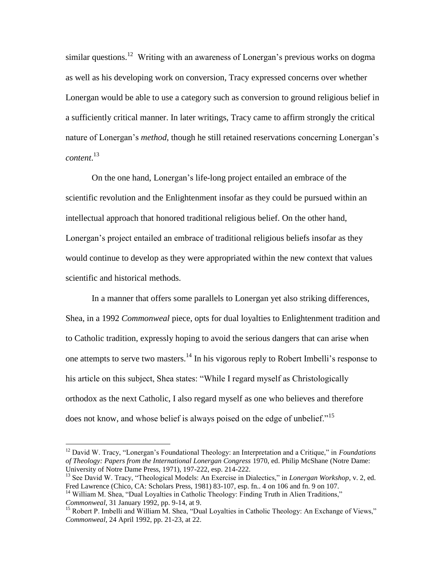similar questions.<sup>12</sup> Writing with an awareness of Lonergan's previous works on dogma as well as his developing work on conversion, Tracy expressed concerns over whether Lonergan would be able to use a category such as conversion to ground religious belief in a sufficiently critical manner. In later writings, Tracy came to affirm strongly the critical nature of Lonergan's *method*, though he still retained reservations concerning Lonergan's *content*. 13

On the one hand, Lonergan's life-long project entailed an embrace of the scientific revolution and the Enlightenment insofar as they could be pursued within an intellectual approach that honored traditional religious belief. On the other hand, Lonergan's project entailed an embrace of traditional religious beliefs insofar as they would continue to develop as they were appropriated within the new context that values scientific and historical methods.

In a manner that offers some parallels to Lonergan yet also striking differences, Shea, in a 1992 *Commonweal* piece, opts for dual loyalties to Enlightenment tradition and to Catholic tradition, expressly hoping to avoid the serious dangers that can arise when one attempts to serve two masters.<sup>14</sup> In his vigorous reply to Robert Imbelli's response to his article on this subject, Shea states: "While I regard myself as Christologically orthodox as the next Catholic, I also regard myself as one who believes and therefore does not know, and whose belief is always poised on the edge of unbelief."<sup>15</sup>

<sup>12</sup> David W. Tracy, "Lonergan's Foundational Theology: an Interpretation and a Critique," in *Foundations of Theology: Papers from the International Lonergan Congress* 1970, ed. Philip McShane (Notre Dame: University of Notre Dame Press, 1971), 197-222, esp. 214-222.

<sup>13</sup> See David W. Tracy, "Theological Models: An Exercise in Dialectics," in *Lonergan Workshop*, v. 2, ed. Fred Lawrence (Chico, CA: Scholars Press, 1981) 83-107, esp. fn.. 4 on 106 and fn. 9 on 107.

<sup>&</sup>lt;sup>14</sup> William M. Shea, "Dual Loyalties in Catholic Theology: Finding Truth in Alien Traditions," *Commonweal*, 31 January 1992, pp. 9-14, at 9.

<sup>&</sup>lt;sup>15</sup> Robert P. Imbelli and William M. Shea, "Dual Loyalties in Catholic Theology: An Exchange of Views," *Commonweal*, 24 April 1992, pp. 21-23, at 22.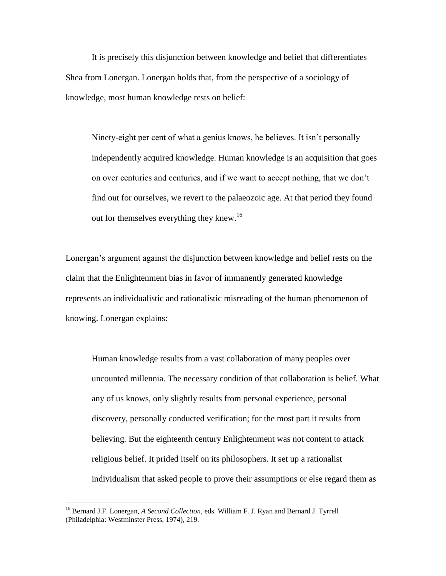It is precisely this disjunction between knowledge and belief that differentiates Shea from Lonergan. Lonergan holds that, from the perspective of a sociology of knowledge, most human knowledge rests on belief:

Ninety-eight per cent of what a genius knows, he believes. It isn't personally independently acquired knowledge. Human knowledge is an acquisition that goes on over centuries and centuries, and if we want to accept nothing, that we don't find out for ourselves, we revert to the palaeozoic age. At that period they found out for themselves everything they knew.<sup>16</sup>

Lonergan's argument against the disjunction between knowledge and belief rests on the claim that the Enlightenment bias in favor of immanently generated knowledge represents an individualistic and rationalistic misreading of the human phenomenon of knowing. Lonergan explains:

Human knowledge results from a vast collaboration of many peoples over uncounted millennia. The necessary condition of that collaboration is belief. What any of us knows, only slightly results from personal experience, personal discovery, personally conducted verification; for the most part it results from believing. But the eighteenth century Enlightenment was not content to attack religious belief. It prided itself on its philosophers. It set up a rationalist individualism that asked people to prove their assumptions or else regard them as

<sup>16</sup> Bernard J.F. Lonergan, *A Second Collection*, eds. William F. J. Ryan and Bernard J. Tyrrell (Philadelphia: Westminster Press, 1974), 219.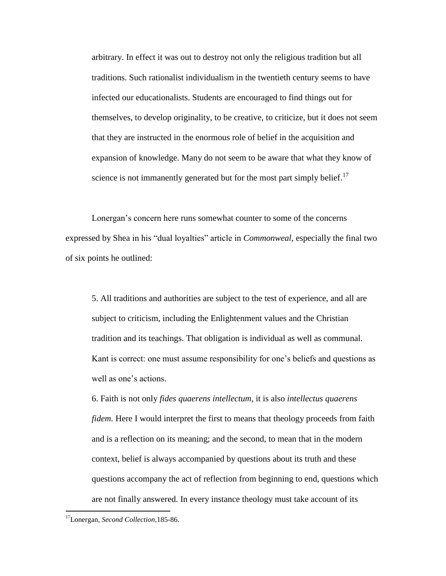arbitrary. In effect it was out to destroy not only the religious tradition but all traditions. Such rationalist individualism in the twentieth century seems to have infected our educationalists. Students are encouraged to find things out for themselves, to develop originality, to be creative, to criticize, but it does not seem that they are instructed in the enormous role of belief in the acquisition and expansion of knowledge. Many do not seem to be aware that what they know of science is not immanently generated but for the most part simply belief.<sup>17</sup>

Lonergan's concern here runs somewhat counter to some of the concerns expressed by Shea in his "dual loyalties" article in *Commonweal*, especially the final two of six points he outlined:

5. All traditions and authorities are subject to the test of experience, and all are subject to criticism, including the Enlightenment values and the Christian tradition and its teachings. That obligation is individual as well as communal. Kant is correct: one must assume responsibility for one's beliefs and questions as well as one's actions.

6. Faith is not only *fides quaerens intellectum*, it is also *intellectus quaerens fidem.* Here I would interpret the first to means that theology proceeds from faith and is a reflection on its meaning; and the second, to mean that in the modern context, belief is always accompanied by questions about its truth and these questions accompany the act of reflection from beginning to end, questions which are not finally answered. In every instance theology must take account of its

<sup>17</sup>Lonergan, *Second Collection*,185-86.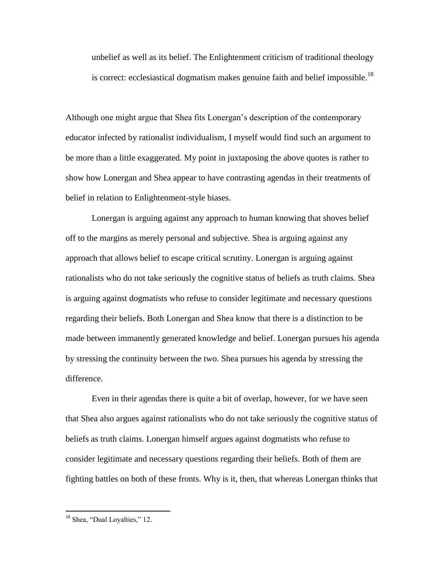unbelief as well as its belief. The Enlightenment criticism of traditional theology is correct: ecclesiastical dogmatism makes genuine faith and belief impossible.<sup>18</sup>

Although one might argue that Shea fits Lonergan's description of the contemporary educator infected by rationalist individualism, I myself would find such an argument to be more than a little exaggerated. My point in juxtaposing the above quotes is rather to show how Lonergan and Shea appear to have contrasting agendas in their treatments of belief in relation to Enlightenment-style biases.

Lonergan is arguing against any approach to human knowing that shoves belief off to the margins as merely personal and subjective. Shea is arguing against any approach that allows belief to escape critical scrutiny. Lonergan is arguing against rationalists who do not take seriously the cognitive status of beliefs as truth claims. Shea is arguing against dogmatists who refuse to consider legitimate and necessary questions regarding their beliefs. Both Lonergan and Shea know that there is a distinction to be made between immanently generated knowledge and belief. Lonergan pursues his agenda by stressing the continuity between the two. Shea pursues his agenda by stressing the difference.

Even in their agendas there is quite a bit of overlap, however, for we have seen that Shea also argues against rationalists who do not take seriously the cognitive status of beliefs as truth claims. Lonergan himself argues against dogmatists who refuse to consider legitimate and necessary questions regarding their beliefs. Both of them are fighting battles on both of these fronts. Why is it, then, that whereas Lonergan thinks that

<sup>&</sup>lt;sup>18</sup> Shea, "Dual Loyalties," 12.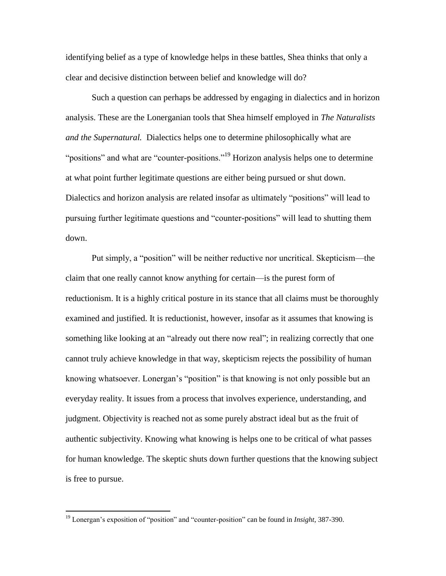identifying belief as a type of knowledge helps in these battles, Shea thinks that only a clear and decisive distinction between belief and knowledge will do?

Such a question can perhaps be addressed by engaging in dialectics and in horizon analysis. These are the Lonerganian tools that Shea himself employed in *The Naturalists and the Supernatural.* Dialectics helps one to determine philosophically what are "positions" and what are "counter-positions."<sup>19</sup> Horizon analysis helps one to determine at what point further legitimate questions are either being pursued or shut down. Dialectics and horizon analysis are related insofar as ultimately "positions" will lead to pursuing further legitimate questions and "counter-positions" will lead to shutting them down.

Put simply, a "position" will be neither reductive nor uncritical. Skepticism—the claim that one really cannot know anything for certain—is the purest form of reductionism. It is a highly critical posture in its stance that all claims must be thoroughly examined and justified. It is reductionist, however, insofar as it assumes that knowing is something like looking at an "already out there now real"; in realizing correctly that one cannot truly achieve knowledge in that way, skepticism rejects the possibility of human knowing whatsoever. Lonergan's "position" is that knowing is not only possible but an everyday reality. It issues from a process that involves experience, understanding, and judgment. Objectivity is reached not as some purely abstract ideal but as the fruit of authentic subjectivity. Knowing what knowing is helps one to be critical of what passes for human knowledge. The skeptic shuts down further questions that the knowing subject is free to pursue.

<sup>19</sup> Lonergan's exposition of "position" and "counter-position" can be found in *Insight*, 387-390.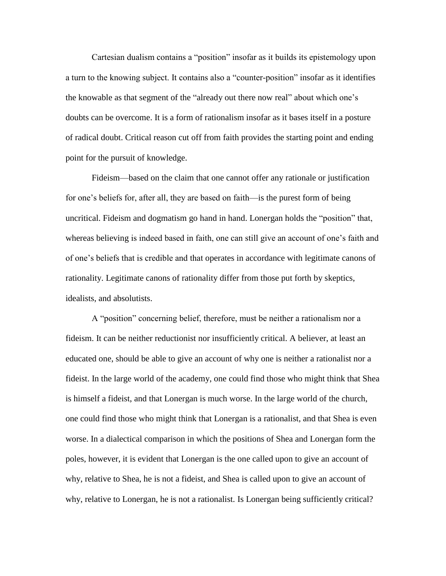Cartesian dualism contains a "position" insofar as it builds its epistemology upon a turn to the knowing subject. It contains also a "counter-position" insofar as it identifies the knowable as that segment of the "already out there now real" about which one's doubts can be overcome. It is a form of rationalism insofar as it bases itself in a posture of radical doubt. Critical reason cut off from faith provides the starting point and ending point for the pursuit of knowledge.

Fideism—based on the claim that one cannot offer any rationale or justification for one's beliefs for, after all, they are based on faith—is the purest form of being uncritical. Fideism and dogmatism go hand in hand. Lonergan holds the "position" that, whereas believing is indeed based in faith, one can still give an account of one's faith and of one's beliefs that is credible and that operates in accordance with legitimate canons of rationality. Legitimate canons of rationality differ from those put forth by skeptics, idealists, and absolutists.

A "position" concerning belief, therefore, must be neither a rationalism nor a fideism. It can be neither reductionist nor insufficiently critical. A believer, at least an educated one, should be able to give an account of why one is neither a rationalist nor a fideist. In the large world of the academy, one could find those who might think that Shea is himself a fideist, and that Lonergan is much worse. In the large world of the church, one could find those who might think that Lonergan is a rationalist, and that Shea is even worse. In a dialectical comparison in which the positions of Shea and Lonergan form the poles, however, it is evident that Lonergan is the one called upon to give an account of why, relative to Shea, he is not a fideist, and Shea is called upon to give an account of why, relative to Lonergan, he is not a rationalist. Is Lonergan being sufficiently critical?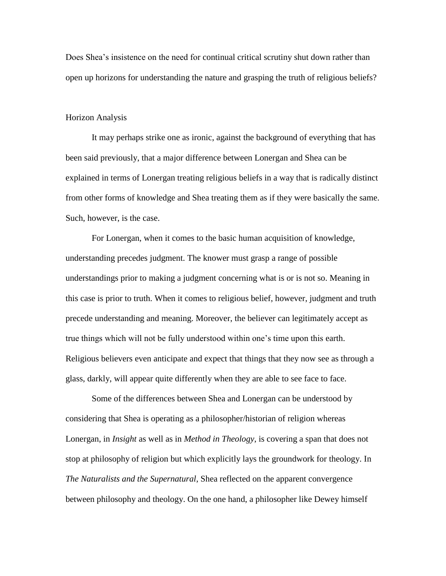Does Shea's insistence on the need for continual critical scrutiny shut down rather than open up horizons for understanding the nature and grasping the truth of religious beliefs?

## Horizon Analysis

It may perhaps strike one as ironic, against the background of everything that has been said previously, that a major difference between Lonergan and Shea can be explained in terms of Lonergan treating religious beliefs in a way that is radically distinct from other forms of knowledge and Shea treating them as if they were basically the same. Such, however, is the case.

For Lonergan, when it comes to the basic human acquisition of knowledge, understanding precedes judgment. The knower must grasp a range of possible understandings prior to making a judgment concerning what is or is not so. Meaning in this case is prior to truth. When it comes to religious belief, however, judgment and truth precede understanding and meaning. Moreover, the believer can legitimately accept as true things which will not be fully understood within one's time upon this earth. Religious believers even anticipate and expect that things that they now see as through a glass, darkly, will appear quite differently when they are able to see face to face.

Some of the differences between Shea and Lonergan can be understood by considering that Shea is operating as a philosopher/historian of religion whereas Lonergan, in *Insight* as well as in *Method in Theology*, is covering a span that does not stop at philosophy of religion but which explicitly lays the groundwork for theology. In *The Naturalists and the Supernatural*, Shea reflected on the apparent convergence between philosophy and theology. On the one hand, a philosopher like Dewey himself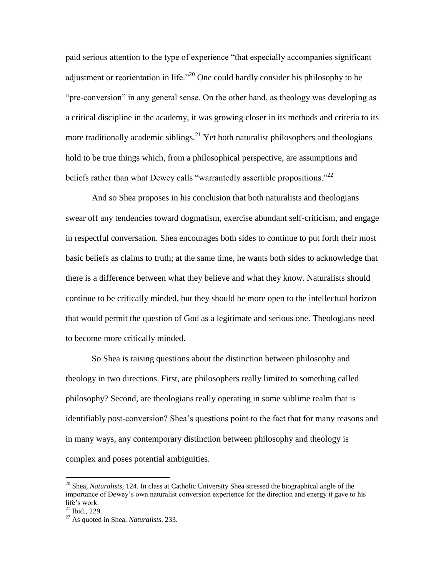paid serious attention to the type of experience "that especially accompanies significant adjustment or reorientation in life."<sup>20</sup> One could hardly consider his philosophy to be "pre-conversion" in any general sense. On the other hand, as theology was developing as a critical discipline in the academy, it was growing closer in its methods and criteria to its more traditionally academic siblings.<sup>21</sup> Yet both naturalist philosophers and theologians hold to be true things which, from a philosophical perspective, are assumptions and beliefs rather than what Dewey calls "warrantedly assertible propositions."<sup>22</sup>

And so Shea proposes in his conclusion that both naturalists and theologians swear off any tendencies toward dogmatism, exercise abundant self-criticism, and engage in respectful conversation. Shea encourages both sides to continue to put forth their most basic beliefs as claims to truth; at the same time, he wants both sides to acknowledge that there is a difference between what they believe and what they know. Naturalists should continue to be critically minded, but they should be more open to the intellectual horizon that would permit the question of God as a legitimate and serious one. Theologians need to become more critically minded.

So Shea is raising questions about the distinction between philosophy and theology in two directions. First, are philosophers really limited to something called philosophy? Second, are theologians really operating in some sublime realm that is identifiably post-conversion? Shea's questions point to the fact that for many reasons and in many ways, any contemporary distinction between philosophy and theology is complex and poses potential ambiguities.

<sup>20</sup> Shea, *Naturalists*, 124. In class at Catholic University Shea stressed the biographical angle of the importance of Dewey's own naturalist conversion experience for the direction and energy it gave to his life's work.

 $21$  Ibid., 229.

<sup>22</sup> As quoted in Shea, *Naturalists*, 233.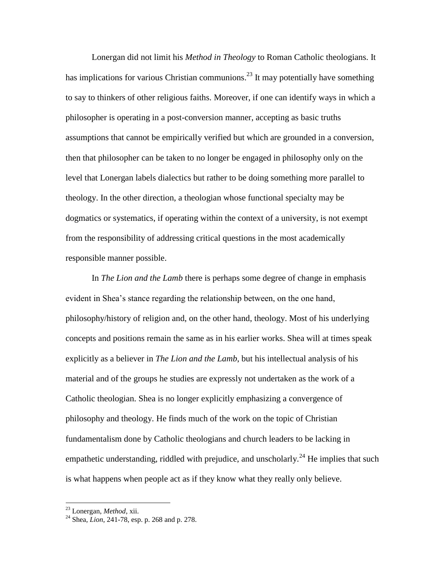Lonergan did not limit his *Method in Theology* to Roman Catholic theologians. It has implications for various Christian communions.<sup>23</sup> It may potentially have something to say to thinkers of other religious faiths. Moreover, if one can identify ways in which a philosopher is operating in a post-conversion manner, accepting as basic truths assumptions that cannot be empirically verified but which are grounded in a conversion, then that philosopher can be taken to no longer be engaged in philosophy only on the level that Lonergan labels dialectics but rather to be doing something more parallel to theology. In the other direction, a theologian whose functional specialty may be dogmatics or systematics, if operating within the context of a university, is not exempt from the responsibility of addressing critical questions in the most academically responsible manner possible.

In *The Lion and the Lamb* there is perhaps some degree of change in emphasis evident in Shea's stance regarding the relationship between, on the one hand, philosophy/history of religion and, on the other hand, theology. Most of his underlying concepts and positions remain the same as in his earlier works. Shea will at times speak explicitly as a believer in *The Lion and the Lamb*, but his intellectual analysis of his material and of the groups he studies are expressly not undertaken as the work of a Catholic theologian. Shea is no longer explicitly emphasizing a convergence of philosophy and theology. He finds much of the work on the topic of Christian fundamentalism done by Catholic theologians and church leaders to be lacking in empathetic understanding, riddled with prejudice, and unscholarly.<sup>24</sup> He implies that such is what happens when people act as if they know what they really only believe.

<sup>23</sup> Lonergan, *Method*, xii.

<sup>24</sup> Shea, *Lion*, 241-78, esp. p. 268 and p. 278.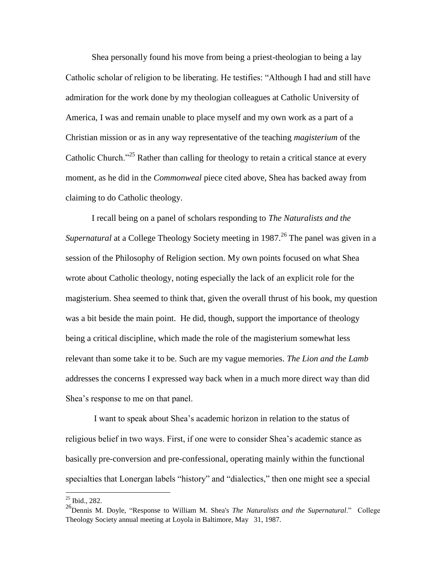Shea personally found his move from being a priest-theologian to being a lay Catholic scholar of religion to be liberating. He testifies: "Although I had and still have admiration for the work done by my theologian colleagues at Catholic University of America, I was and remain unable to place myself and my own work as a part of a Christian mission or as in any way representative of the teaching *magisterium* of the Catholic Church."<sup>25</sup> Rather than calling for theology to retain a critical stance at every moment, as he did in the *Commonweal* piece cited above, Shea has backed away from claiming to do Catholic theology.

I recall being on a panel of scholars responding to *The Naturalists and the Supernatural* at a College Theology Society meeting in 1987. <sup>26</sup> The panel was given in a session of the Philosophy of Religion section. My own points focused on what Shea wrote about Catholic theology, noting especially the lack of an explicit role for the magisterium. Shea seemed to think that, given the overall thrust of his book, my question was a bit beside the main point. He did, though, support the importance of theology being a critical discipline, which made the role of the magisterium somewhat less relevant than some take it to be. Such are my vague memories. *The Lion and the Lamb* addresses the concerns I expressed way back when in a much more direct way than did Shea's response to me on that panel.

I want to speak about Shea's academic horizon in relation to the status of religious belief in two ways. First, if one were to consider Shea's academic stance as basically pre-conversion and pre-confessional, operating mainly within the functional specialties that Lonergan labels "history" and "dialectics," then one might see a special

 $25$  Ibid., 282.

<sup>&</sup>lt;sup>26</sup>Dennis M. Doyle, "Response to William M. Shea's *The Naturalists and the Supernatural*." College Theology Society annual meeting at Loyola in Baltimore, May 31, 1987.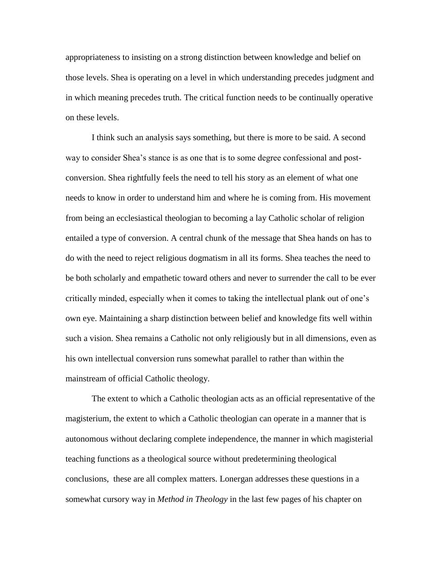appropriateness to insisting on a strong distinction between knowledge and belief on those levels. Shea is operating on a level in which understanding precedes judgment and in which meaning precedes truth. The critical function needs to be continually operative on these levels.

I think such an analysis says something, but there is more to be said. A second way to consider Shea's stance is as one that is to some degree confessional and postconversion. Shea rightfully feels the need to tell his story as an element of what one needs to know in order to understand him and where he is coming from. His movement from being an ecclesiastical theologian to becoming a lay Catholic scholar of religion entailed a type of conversion. A central chunk of the message that Shea hands on has to do with the need to reject religious dogmatism in all its forms. Shea teaches the need to be both scholarly and empathetic toward others and never to surrender the call to be ever critically minded, especially when it comes to taking the intellectual plank out of one's own eye. Maintaining a sharp distinction between belief and knowledge fits well within such a vision. Shea remains a Catholic not only religiously but in all dimensions, even as his own intellectual conversion runs somewhat parallel to rather than within the mainstream of official Catholic theology.

The extent to which a Catholic theologian acts as an official representative of the magisterium, the extent to which a Catholic theologian can operate in a manner that is autonomous without declaring complete independence, the manner in which magisterial teaching functions as a theological source without predetermining theological conclusions, these are all complex matters. Lonergan addresses these questions in a somewhat cursory way in *Method in Theology* in the last few pages of his chapter on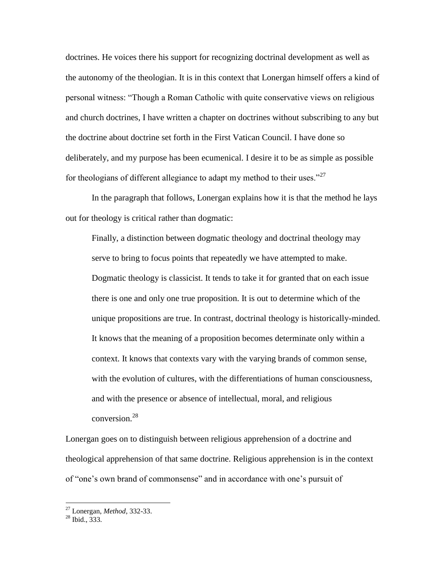doctrines. He voices there his support for recognizing doctrinal development as well as the autonomy of the theologian. It is in this context that Lonergan himself offers a kind of personal witness: "Though a Roman Catholic with quite conservative views on religious and church doctrines, I have written a chapter on doctrines without subscribing to any but the doctrine about doctrine set forth in the First Vatican Council. I have done so deliberately, and my purpose has been ecumenical. I desire it to be as simple as possible for theologians of different allegiance to adapt my method to their uses."<sup>27</sup>

In the paragraph that follows, Lonergan explains how it is that the method he lays out for theology is critical rather than dogmatic:

Finally, a distinction between dogmatic theology and doctrinal theology may serve to bring to focus points that repeatedly we have attempted to make. Dogmatic theology is classicist. It tends to take it for granted that on each issue there is one and only one true proposition. It is out to determine which of the unique propositions are true. In contrast, doctrinal theology is historically-minded. It knows that the meaning of a proposition becomes determinate only within a context. It knows that contexts vary with the varying brands of common sense, with the evolution of cultures, with the differentiations of human consciousness, and with the presence or absence of intellectual, moral, and religious conversion.<sup>28</sup>

Lonergan goes on to distinguish between religious apprehension of a doctrine and theological apprehension of that same doctrine. Religious apprehension is in the context of "one's own brand of commonsense" and in accordance with one's pursuit of

<sup>27</sup> Lonergan, *Method*, 332-33.

 $^{28}$  Ibid., 333.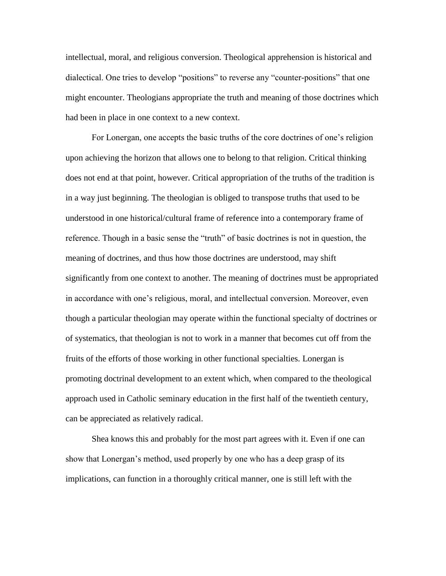intellectual, moral, and religious conversion. Theological apprehension is historical and dialectical. One tries to develop "positions" to reverse any "counter-positions" that one might encounter. Theologians appropriate the truth and meaning of those doctrines which had been in place in one context to a new context.

For Lonergan, one accepts the basic truths of the core doctrines of one's religion upon achieving the horizon that allows one to belong to that religion. Critical thinking does not end at that point, however. Critical appropriation of the truths of the tradition is in a way just beginning. The theologian is obliged to transpose truths that used to be understood in one historical/cultural frame of reference into a contemporary frame of reference. Though in a basic sense the "truth" of basic doctrines is not in question, the meaning of doctrines, and thus how those doctrines are understood, may shift significantly from one context to another. The meaning of doctrines must be appropriated in accordance with one's religious, moral, and intellectual conversion. Moreover, even though a particular theologian may operate within the functional specialty of doctrines or of systematics, that theologian is not to work in a manner that becomes cut off from the fruits of the efforts of those working in other functional specialties. Lonergan is promoting doctrinal development to an extent which, when compared to the theological approach used in Catholic seminary education in the first half of the twentieth century, can be appreciated as relatively radical.

Shea knows this and probably for the most part agrees with it. Even if one can show that Lonergan's method, used properly by one who has a deep grasp of its implications, can function in a thoroughly critical manner, one is still left with the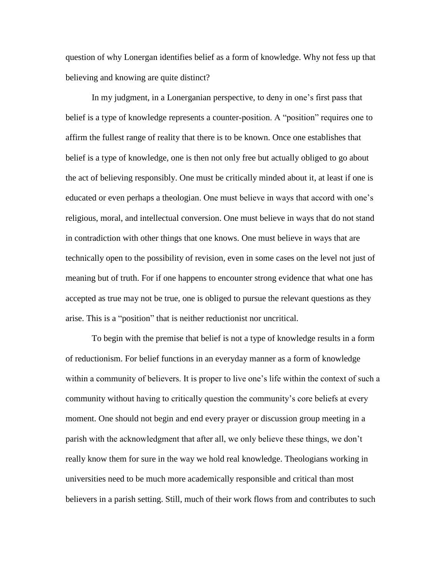question of why Lonergan identifies belief as a form of knowledge. Why not fess up that believing and knowing are quite distinct?

In my judgment, in a Lonerganian perspective, to deny in one's first pass that belief is a type of knowledge represents a counter-position. A "position" requires one to affirm the fullest range of reality that there is to be known. Once one establishes that belief is a type of knowledge, one is then not only free but actually obliged to go about the act of believing responsibly. One must be critically minded about it, at least if one is educated or even perhaps a theologian. One must believe in ways that accord with one's religious, moral, and intellectual conversion. One must believe in ways that do not stand in contradiction with other things that one knows. One must believe in ways that are technically open to the possibility of revision, even in some cases on the level not just of meaning but of truth. For if one happens to encounter strong evidence that what one has accepted as true may not be true, one is obliged to pursue the relevant questions as they arise. This is a "position" that is neither reductionist nor uncritical.

To begin with the premise that belief is not a type of knowledge results in a form of reductionism. For belief functions in an everyday manner as a form of knowledge within a community of believers. It is proper to live one's life within the context of such a community without having to critically question the community's core beliefs at every moment. One should not begin and end every prayer or discussion group meeting in a parish with the acknowledgment that after all, we only believe these things, we don't really know them for sure in the way we hold real knowledge. Theologians working in universities need to be much more academically responsible and critical than most believers in a parish setting. Still, much of their work flows from and contributes to such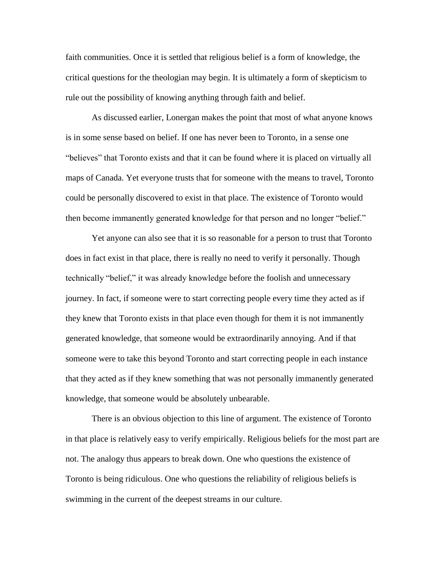faith communities. Once it is settled that religious belief is a form of knowledge, the critical questions for the theologian may begin. It is ultimately a form of skepticism to rule out the possibility of knowing anything through faith and belief.

As discussed earlier, Lonergan makes the point that most of what anyone knows is in some sense based on belief. If one has never been to Toronto, in a sense one "believes" that Toronto exists and that it can be found where it is placed on virtually all maps of Canada. Yet everyone trusts that for someone with the means to travel, Toronto could be personally discovered to exist in that place. The existence of Toronto would then become immanently generated knowledge for that person and no longer "belief."

Yet anyone can also see that it is so reasonable for a person to trust that Toronto does in fact exist in that place, there is really no need to verify it personally. Though technically "belief," it was already knowledge before the foolish and unnecessary journey. In fact, if someone were to start correcting people every time they acted as if they knew that Toronto exists in that place even though for them it is not immanently generated knowledge, that someone would be extraordinarily annoying. And if that someone were to take this beyond Toronto and start correcting people in each instance that they acted as if they knew something that was not personally immanently generated knowledge, that someone would be absolutely unbearable.

There is an obvious objection to this line of argument. The existence of Toronto in that place is relatively easy to verify empirically. Religious beliefs for the most part are not. The analogy thus appears to break down. One who questions the existence of Toronto is being ridiculous. One who questions the reliability of religious beliefs is swimming in the current of the deepest streams in our culture.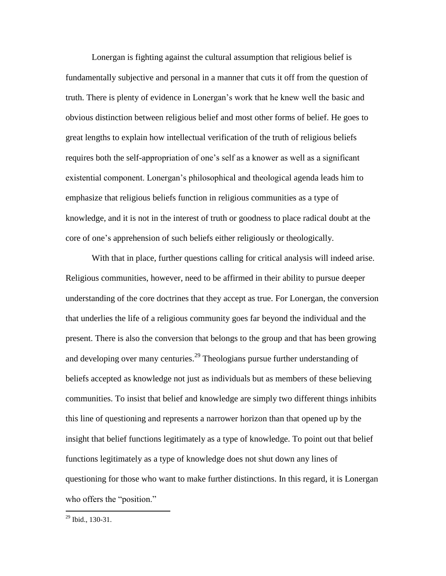Lonergan is fighting against the cultural assumption that religious belief is fundamentally subjective and personal in a manner that cuts it off from the question of truth. There is plenty of evidence in Lonergan's work that he knew well the basic and obvious distinction between religious belief and most other forms of belief. He goes to great lengths to explain how intellectual verification of the truth of religious beliefs requires both the self-appropriation of one's self as a knower as well as a significant existential component. Lonergan's philosophical and theological agenda leads him to emphasize that religious beliefs function in religious communities as a type of knowledge, and it is not in the interest of truth or goodness to place radical doubt at the core of one's apprehension of such beliefs either religiously or theologically.

With that in place, further questions calling for critical analysis will indeed arise. Religious communities, however, need to be affirmed in their ability to pursue deeper understanding of the core doctrines that they accept as true. For Lonergan, the conversion that underlies the life of a religious community goes far beyond the individual and the present. There is also the conversion that belongs to the group and that has been growing and developing over many centuries.<sup>29</sup> Theologians pursue further understanding of beliefs accepted as knowledge not just as individuals but as members of these believing communities. To insist that belief and knowledge are simply two different things inhibits this line of questioning and represents a narrower horizon than that opened up by the insight that belief functions legitimately as a type of knowledge. To point out that belief functions legitimately as a type of knowledge does not shut down any lines of questioning for those who want to make further distinctions. In this regard, it is Lonergan who offers the "position."

 $^{29}$  Ibid., 130-31.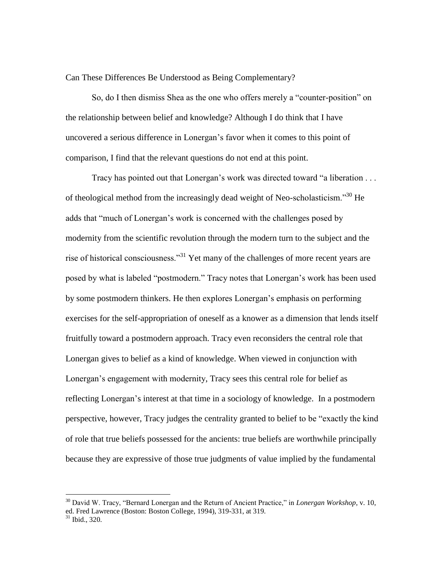Can These Differences Be Understood as Being Complementary?

So, do I then dismiss Shea as the one who offers merely a "counter-position" on the relationship between belief and knowledge? Although I do think that I have uncovered a serious difference in Lonergan's favor when it comes to this point of comparison, I find that the relevant questions do not end at this point.

Tracy has pointed out that Lonergan's work was directed toward "a liberation . . . of theological method from the increasingly dead weight of Neo-scholasticism."<sup>30</sup> He adds that "much of Lonergan's work is concerned with the challenges posed by modernity from the scientific revolution through the modern turn to the subject and the rise of historical consciousness."<sup>31</sup> Yet many of the challenges of more recent years are posed by what is labeled "postmodern." Tracy notes that Lonergan's work has been used by some postmodern thinkers. He then explores Lonergan's emphasis on performing exercises for the self-appropriation of oneself as a knower as a dimension that lends itself fruitfully toward a postmodern approach. Tracy even reconsiders the central role that Lonergan gives to belief as a kind of knowledge. When viewed in conjunction with Lonergan's engagement with modernity, Tracy sees this central role for belief as reflecting Lonergan's interest at that time in a sociology of knowledge. In a postmodern perspective, however, Tracy judges the centrality granted to belief to be "exactly the kind of role that true beliefs possessed for the ancients: true beliefs are worthwhile principally because they are expressive of those true judgments of value implied by the fundamental

<sup>30</sup> David W. Tracy, "Bernard Lonergan and the Return of Ancient Practice," in *Lonergan Workshop*, v. 10, ed. Fred Lawrence (Boston: Boston College, 1994), 319-331, at 319.

 $31$  Ibid., 320.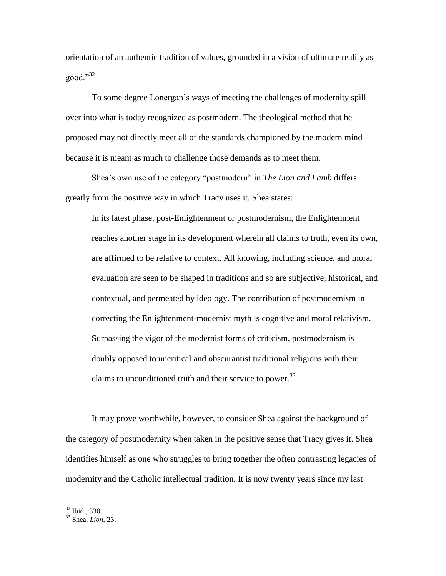orientation of an authentic tradition of values, grounded in a vision of ultimate reality as good."<sup>32</sup>

To some degree Lonergan's ways of meeting the challenges of modernity spill over into what is today recognized as postmodern. The theological method that he proposed may not directly meet all of the standards championed by the modern mind because it is meant as much to challenge those demands as to meet them.

Shea's own use of the category "postmodern" in *The Lion and Lamb* differs greatly from the positive way in which Tracy uses it. Shea states:

In its latest phase, post-Enlightenment or postmodernism, the Enlightenment reaches another stage in its development wherein all claims to truth, even its own, are affirmed to be relative to context. All knowing, including science, and moral evaluation are seen to be shaped in traditions and so are subjective, historical, and contextual, and permeated by ideology. The contribution of postmodernism in correcting the Enlightenment-modernist myth is cognitive and moral relativism. Surpassing the vigor of the modernist forms of criticism, postmodernism is doubly opposed to uncritical and obscurantist traditional religions with their claims to unconditioned truth and their service to power. $33$ 

It may prove worthwhile, however, to consider Shea against the background of the category of postmodernity when taken in the positive sense that Tracy gives it. Shea identifies himself as one who struggles to bring together the often contrasting legacies of modernity and the Catholic intellectual tradition. It is now twenty years since my last

<sup>&</sup>lt;sup>32</sup> Ibid., 330.

<sup>33</sup> Shea, *Lion*, 23.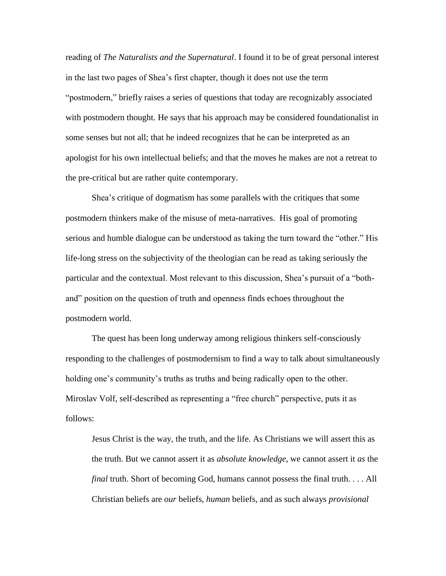reading of *The Naturalists and the Supernatural*. I found it to be of great personal interest in the last two pages of Shea's first chapter, though it does not use the term "postmodern," briefly raises a series of questions that today are recognizably associated with postmodern thought. He says that his approach may be considered foundationalist in some senses but not all; that he indeed recognizes that he can be interpreted as an apologist for his own intellectual beliefs; and that the moves he makes are not a retreat to the pre-critical but are rather quite contemporary.

Shea's critique of dogmatism has some parallels with the critiques that some postmodern thinkers make of the misuse of meta-narratives. His goal of promoting serious and humble dialogue can be understood as taking the turn toward the "other." His life-long stress on the subjectivity of the theologian can be read as taking seriously the particular and the contextual. Most relevant to this discussion, Shea's pursuit of a "bothand" position on the question of truth and openness finds echoes throughout the postmodern world.

The quest has been long underway among religious thinkers self-consciously responding to the challenges of postmodernism to find a way to talk about simultaneously holding one's community's truths as truths and being radically open to the other. Miroslav Volf, self-described as representing a "free church" perspective, puts it as follows:

Jesus Christ is the way, the truth, and the life. As Christians we will assert this as the truth. But we cannot assert it as *absolute knowledge*, we cannot assert it *as* the *final* truth. Short of becoming God, humans cannot possess the final truth. . . . All Christian beliefs are *our* beliefs, *human* beliefs, and as such always *provisional*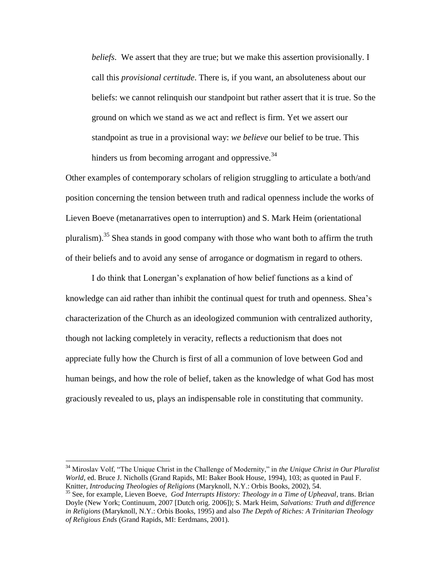*beliefs*. We assert that they are true; but we make this assertion provisionally. I call this *provisional certitude*. There is, if you want, an absoluteness about our beliefs: we cannot relinquish our standpoint but rather assert that it is true. So the ground on which we stand as we act and reflect is firm. Yet we assert our standpoint as true in a provisional way: *we believe* our belief to be true. This hinders us from becoming arrogant and oppressive.  $34$ 

Other examples of contemporary scholars of religion struggling to articulate a both/and position concerning the tension between truth and radical openness include the works of Lieven Boeve (metanarratives open to interruption) and S. Mark Heim (orientational pluralism).<sup>35</sup> Shea stands in good company with those who want both to affirm the truth of their beliefs and to avoid any sense of arrogance or dogmatism in regard to others.

I do think that Lonergan's explanation of how belief functions as a kind of knowledge can aid rather than inhibit the continual quest for truth and openness. Shea's characterization of the Church as an ideologized communion with centralized authority, though not lacking completely in veracity, reflects a reductionism that does not appreciate fully how the Church is first of all a communion of love between God and human beings, and how the role of belief, taken as the knowledge of what God has most graciously revealed to us, plays an indispensable role in constituting that community.

<sup>34</sup> Miroslav Volf, "The Unique Christ in the Challenge of Modernity," in *the Unique Christ in Our Pluralist World*, ed. Bruce J. Nicholls (Grand Rapids, MI: Baker Book House, 1994), 103; as quoted in Paul F. Knitter, *Introducing Theologies of Religions* (Maryknoll, N.Y.: Orbis Books, 2002), 54.

<sup>35</sup> See, for example, Lieven Boeve, *God Interrupts History: Theology in a Time of Upheaval*, trans. Brian Doyle (New York; Continuum, 2007 [Dutch orig. 2006]); S. Mark Heim, *Salvations: Truth and difference in Religions* (Maryknoll, N.Y.: Orbis Books, 1995) and also *The Depth of Riches: A Trinitarian Theology of Religious Ends* (Grand Rapids, MI: Eerdmans, 2001).